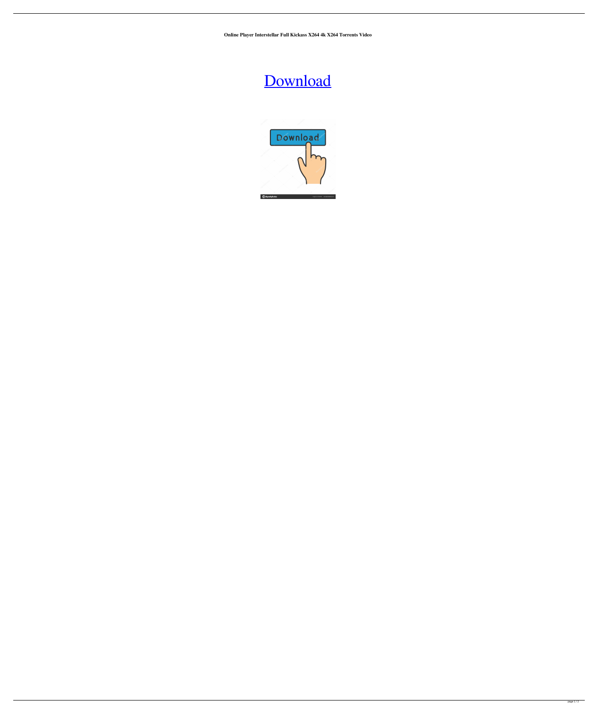**Online Player Interstellar Full Kickass X264 4k X264 Torrents Video**

## [Download](http://evacdir.com/hamack/noncompetition/ZG93bmxvYWR8SnU3TVRWbGRIeDhNVFkxTWpjME1EZzJObng4TWpVM05IeDhLRTBwSUhKbFlXUXRZbXh2WnlCYlJtRnpkQ0JIUlU1ZA.parents.SEQgT25saW5lIFBsYXllciAoaW50ZXJzdGVsbGFyIG1vdmllIGRvd25sb2FkIGluIGhpbmRpIDcyMHAgaGQgcmVzb2x1dGlvbmdvbGtlcykSEQ.gravitate.stingers)